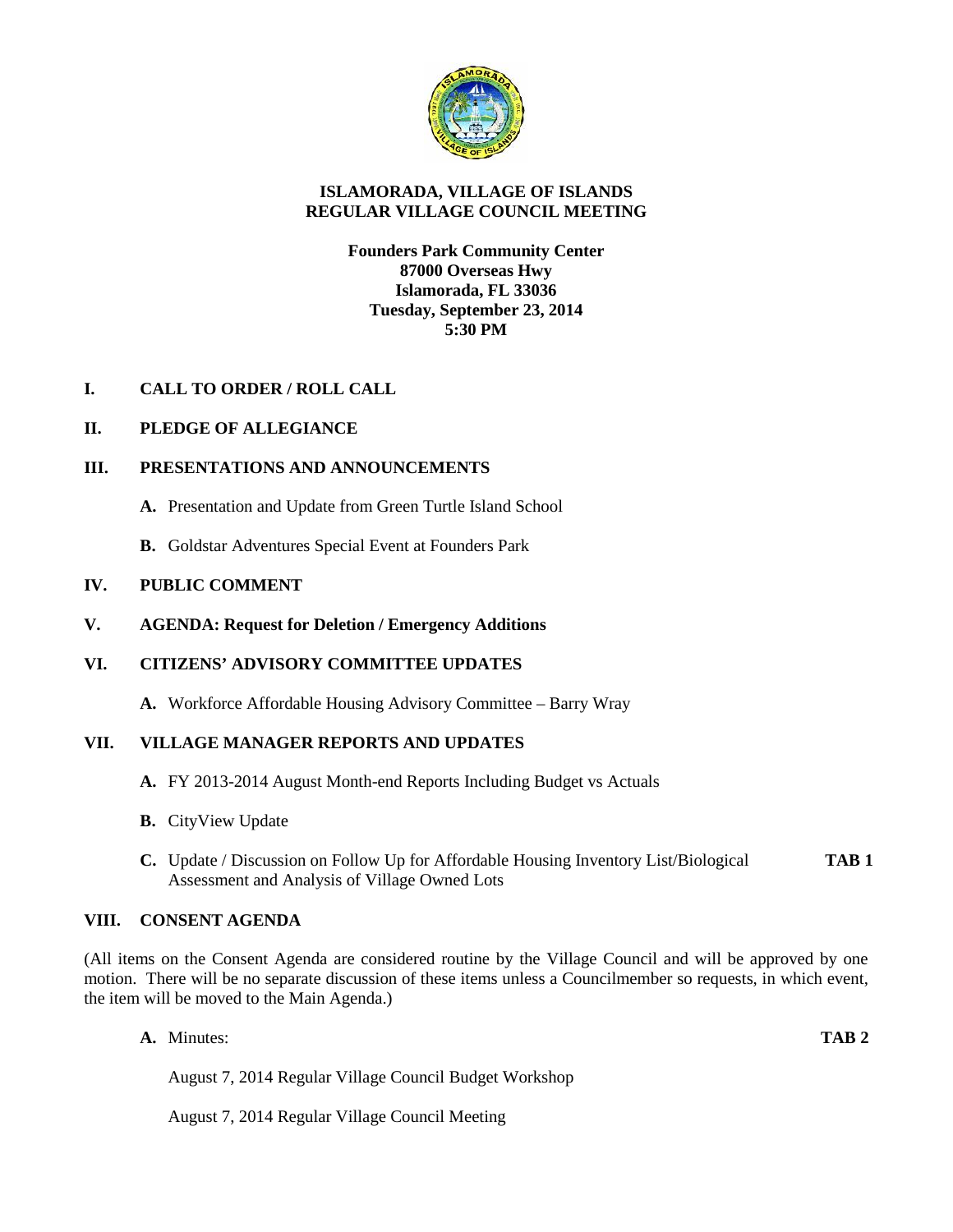

# **ISLAMORADA, VILLAGE OF ISLANDS REGULAR VILLAGE COUNCIL MEETING**

# **Founders Park Community Center 87000 Overseas Hwy Islamorada, FL 33036 Tuesday, September 23, 2014 5:30 PM**

# **I. CALL TO ORDER / ROLL CALL**

# **II. PLEDGE OF ALLEGIANCE**

# **III. PRESENTATIONS AND ANNOUNCEMENTS**

- **A.** Presentation and Update from Green Turtle Island School
- **B.** Goldstar Adventures Special Event at Founders Park

# **IV. PUBLIC COMMENT**

**V. AGENDA: Request for Deletion / Emergency Additions**

# **VI. CITIZENS' ADVISORY COMMITTEE UPDATES**

**A.** Workforce Affordable Housing Advisory Committee – Barry Wray

## **VII. VILLAGE MANAGER REPORTS AND UPDATES**

- **A.** FY 2013-2014 August Month-end Reports Including Budget vs Actuals
- **B.** CityView Update
- **C.** Update / Discussion on Follow Up for Affordable Housing Inventory List/Biological **TAB 1** Assessment and Analysis of Village Owned Lots

## **VIII. CONSENT AGENDA**

(All items on the Consent Agenda are considered routine by the Village Council and will be approved by one motion. There will be no separate discussion of these items unless a Councilmember so requests, in which event, the item will be moved to the Main Agenda.)

**A.** Minutes: **TAB 2**

August 7, 2014 Regular Village Council Budget Workshop

August 7, 2014 Regular Village Council Meeting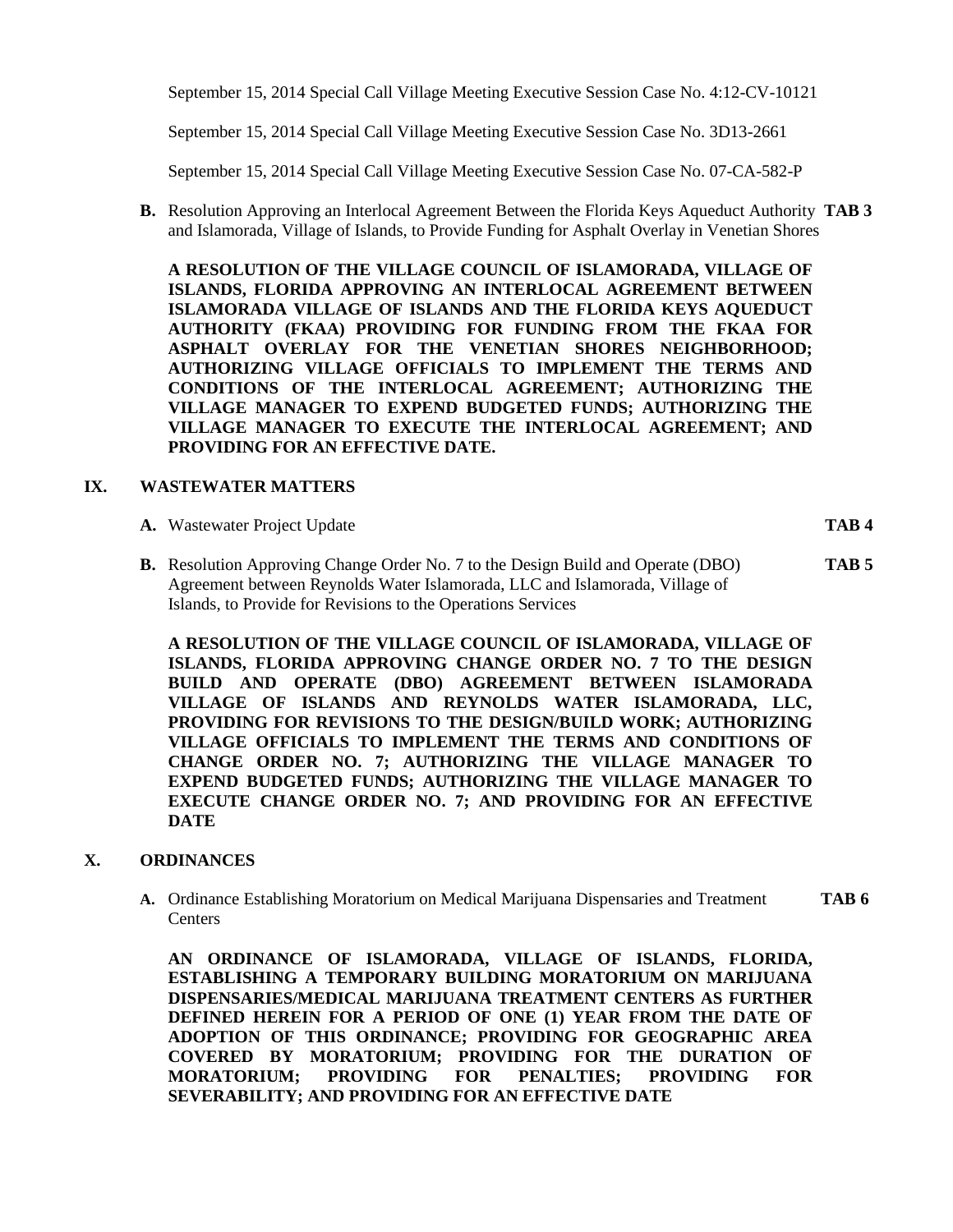September 15, 2014 Special Call Village Meeting Executive Session Case No. 4:12-CV-10121

September 15, 2014 Special Call Village Meeting Executive Session Case No. 3D13-2661

September 15, 2014 Special Call Village Meeting Executive Session Case No. 07-CA-582-P

**B.** Resolution Approving an Interlocal Agreement Between the Florida Keys Aqueduct Authority **TAB 3** and Islamorada, Village of Islands, to Provide Funding for Asphalt Overlay in Venetian Shores

**A RESOLUTION OF THE VILLAGE COUNCIL OF ISLAMORADA, VILLAGE OF ISLANDS, FLORIDA APPROVING AN INTERLOCAL AGREEMENT BETWEEN ISLAMORADA VILLAGE OF ISLANDS AND THE FLORIDA KEYS AQUEDUCT AUTHORITY (FKAA) PROVIDING FOR FUNDING FROM THE FKAA FOR ASPHALT OVERLAY FOR THE VENETIAN SHORES NEIGHBORHOOD; AUTHORIZING VILLAGE OFFICIALS TO IMPLEMENT THE TERMS AND CONDITIONS OF THE INTERLOCAL AGREEMENT; AUTHORIZING THE VILLAGE MANAGER TO EXPEND BUDGETED FUNDS; AUTHORIZING THE VILLAGE MANAGER TO EXECUTE THE INTERLOCAL AGREEMENT; AND PROVIDING FOR AN EFFECTIVE DATE.**

### **IX. WASTEWATER MATTERS**

**A.** Wastewater Project Update **TAB 4**

**B.** Resolution Approving Change Order No. 7 to the Design Build and Operate (DBO) **TAB 5** Agreement between Reynolds Water Islamorada, LLC and Islamorada, Village of Islands, to Provide for Revisions to the Operations Services

**A RESOLUTION OF THE VILLAGE COUNCIL OF ISLAMORADA, VILLAGE OF ISLANDS, FLORIDA APPROVING CHANGE ORDER NO. 7 TO THE DESIGN BUILD AND OPERATE (DBO) AGREEMENT BETWEEN ISLAMORADA VILLAGE OF ISLANDS AND REYNOLDS WATER ISLAMORADA, LLC, PROVIDING FOR REVISIONS TO THE DESIGN/BUILD WORK; AUTHORIZING VILLAGE OFFICIALS TO IMPLEMENT THE TERMS AND CONDITIONS OF CHANGE ORDER NO. 7; AUTHORIZING THE VILLAGE MANAGER TO EXPEND BUDGETED FUNDS; AUTHORIZING THE VILLAGE MANAGER TO EXECUTE CHANGE ORDER NO. 7; AND PROVIDING FOR AN EFFECTIVE DATE**

## **X. ORDINANCES**

**A.** Ordinance Establishing Moratorium on Medical Marijuana Dispensaries and Treatment **TAB 6 Centers** 

**AN ORDINANCE OF ISLAMORADA, VILLAGE OF ISLANDS, FLORIDA, ESTABLISHING A TEMPORARY BUILDING MORATORIUM ON MARIJUANA DISPENSARIES/MEDICAL MARIJUANA TREATMENT CENTERS AS FURTHER DEFINED HEREIN FOR A PERIOD OF ONE (1) YEAR FROM THE DATE OF ADOPTION OF THIS ORDINANCE; PROVIDING FOR GEOGRAPHIC AREA COVERED BY MORATORIUM; PROVIDING FOR THE DURATION OF MORATORIUM; PROVIDING FOR PENALTIES; PROVIDING FOR SEVERABILITY; AND PROVIDING FOR AN EFFECTIVE DATE**